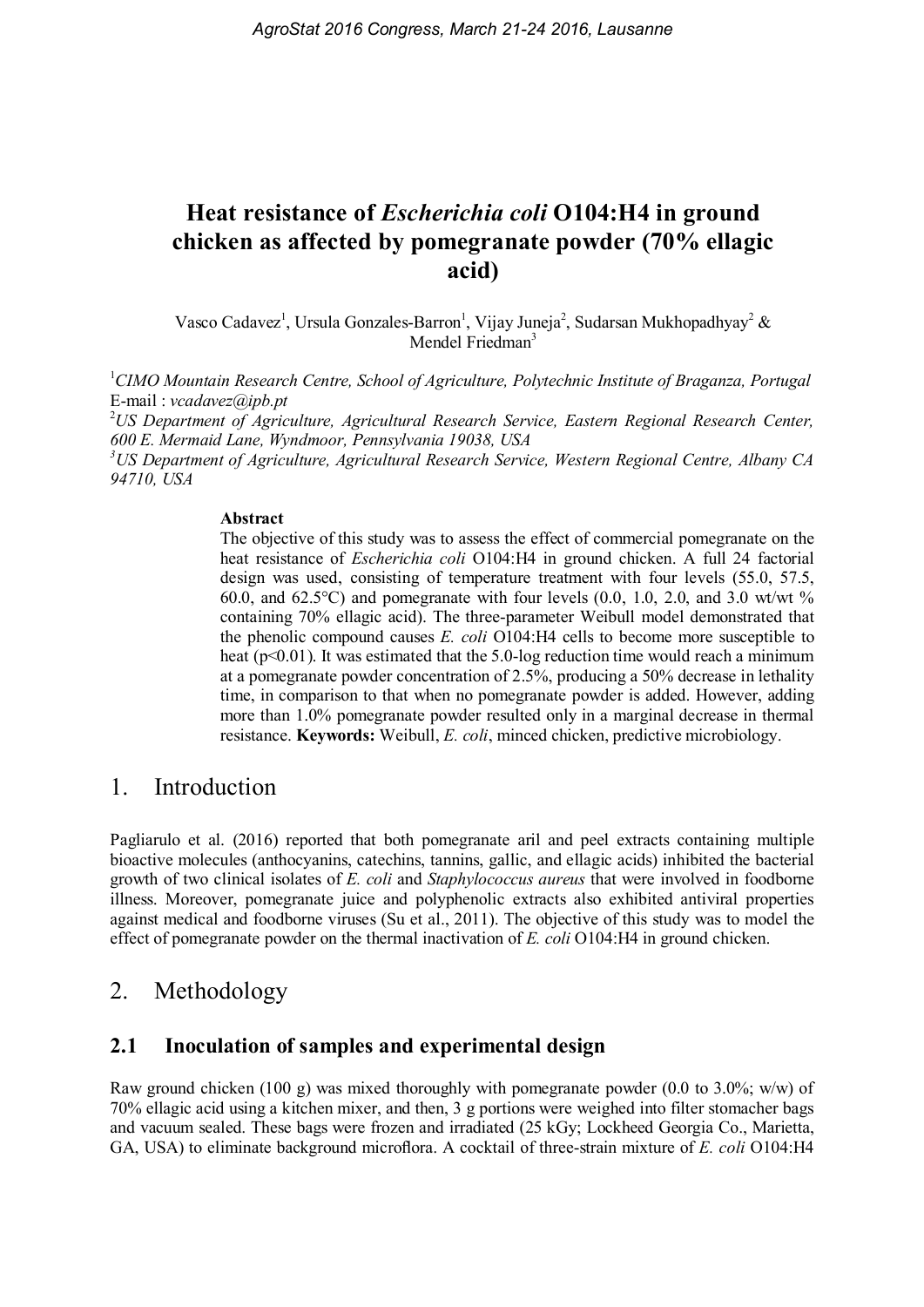# Heat resistance of Escherichia coli O104:H4 in ground chicken as affected by pomegranate powder (70% ellagic acid)

Vasco Cadavez<sup>1</sup>, Ursula Gonzales-Barron<sup>1</sup>, Vijay Juneja<sup>2</sup>, Sudarsan Mukhopadhyay<sup>2</sup> & Mendel Friedman<sup>3</sup>

 $1$ CIMO Mountain Research Centre, School of Agriculture, Polytechnic Institute of Braganza, Portugal E-mail : vcadavez@ipb.pt

 $2^2$ US Department of Agriculture, Agricultural Research Service, Eastern Regional Research Center, 600 E. Mermaid Lane, Wyndmoor, Pennsylvania 19038, USA

<sup>3</sup>US Department of Agriculture, Agricultural Research Service, Western Regional Centre, Albany CA 94710, USA

#### Abstract

The objective of this study was to assess the effect of commercial pomegranate on the heat resistance of Escherichia coli O104:H4 in ground chicken. A full 24 factorial design was used, consisting of temperature treatment with four levels (55.0, 57.5, 60.0, and 62.5 $^{\circ}$ C) and pomegranate with four levels (0.0, 1.0, 2.0, and 3.0 wt/wt % containing 70% ellagic acid). The three-parameter Weibull model demonstrated that the phenolic compound causes E. coli O104:H4 cells to become more susceptible to heat ( $p<0.01$ ). It was estimated that the 5.0-log reduction time would reach a minimum at a pomegranate powder concentration of 2.5%, producing a 50% decrease in lethality time, in comparison to that when no pomegranate powder is added. However, adding more than 1.0% pomegranate powder resulted only in a marginal decrease in thermal resistance. Keywords: Weibull, E. coli, minced chicken, predictive microbiology.

### 1. Introduction

Pagliarulo et al. (2016) reported that both pomegranate aril and peel extracts containing multiple bioactive molecules (anthocyanins, catechins, tannins, gallic, and ellagic acids) inhibited the bacterial growth of two clinical isolates of E. coli and Staphylococcus aureus that were involved in foodborne illness. Moreover, pomegranate juice and polyphenolic extracts also exhibited antiviral properties against medical and foodborne viruses (Su et al., 2011). The objective of this study was to model the effect of pomegranate powder on the thermal inactivation of E. coli O104:H4 in ground chicken.

# 2. Methodology

### 2.1 Inoculation of samples and experimental design

Raw ground chicken (100 g) was mixed thoroughly with pomegranate powder (0.0 to 3.0%; w/w) of 70% ellagic acid using a kitchen mixer, and then, 3 g portions were weighed into filter stomacher bags and vacuum sealed. These bags were frozen and irradiated (25 kGy; Lockheed Georgia Co., Marietta, GA, USA) to eliminate background microflora. A cocktail of three-strain mixture of E. coli O104:H4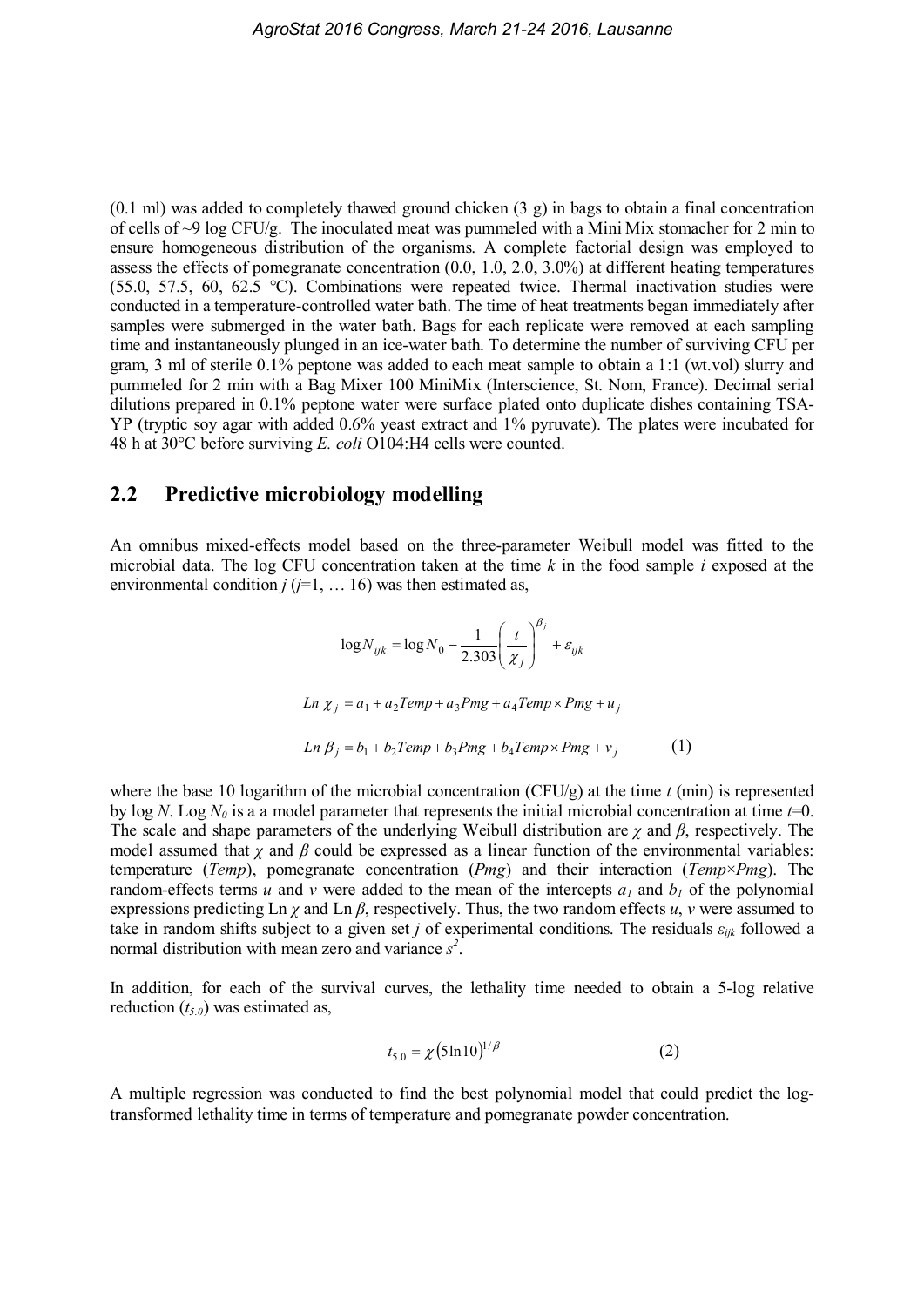$(0.1 \text{ ml})$  was added to completely thawed ground chicken  $(3 \text{ g})$  in bags to obtain a final concentration of cells of ~9 log CFU/g. The inoculated meat was pummeled with a Mini Mix stomacher for 2 min to ensure homogeneous distribution of the organisms. A complete factorial design was employed to assess the effects of pomegranate concentration (0.0, 1.0, 2.0, 3.0%) at different heating temperatures (55.0, 57.5, 60, 62.5 °C). Combinations were repeated twice. Thermal inactivation studies were conducted in a temperature-controlled water bath. The time of heat treatments began immediately after samples were submerged in the water bath. Bags for each replicate were removed at each sampling time and instantaneously plunged in an ice-water bath. To determine the number of surviving CFU per gram, 3 ml of sterile 0.1% peptone was added to each meat sample to obtain a 1:1 (wt.vol) slurry and pummeled for 2 min with a Bag Mixer 100 MiniMix (Interscience, St. Nom, France). Decimal serial dilutions prepared in 0.1% peptone water were surface plated onto duplicate dishes containing TSA-YP (tryptic soy agar with added 0.6% yeast extract and 1% pyruvate). The plates were incubated for 48 h at 30°C before surviving E. coli O104:H4 cells were counted.

#### 2.2 Predictive microbiology modelling

An omnibus mixed-effects model based on the three-parameter Weibull model was fitted to the microbial data. The log CFU concentration taken at the time  $k$  in the food sample i exposed at the environmental condition  $j$  ( $j=1, \ldots 16$ ) was then estimated as,

$$
\log N_{ijk} = \log N_0 - \frac{1}{2.303} \left(\frac{t}{\chi_j}\right)^{\beta_j} + \varepsilon_{ijk}
$$
  
\n
$$
Ln \chi_j = a_1 + a_2 Temp + a_3 Pmg + a_4 Temp \times Pmg + u_j
$$
  
\n
$$
Ln \beta_j = b_1 + b_2 Temp + b_3 Pmg + b_4 Temp \times Pmg + v_j
$$
 (1)

where the base 10 logarithm of the microbial concentration (CFU/g) at the time  $t$  (min) is represented by log N. Log  $N_0$  is a a model parameter that represents the initial microbial concentration at time  $t=0$ . The scale and shape parameters of the underlying Weibull distribution are  $\gamma$  and  $\beta$ , respectively. The model assumed that  $\chi$  and  $\beta$  could be expressed as a linear function of the environmental variables: temperature (Temp), pomegranate concentration (Pmg) and their interaction (Temp×Pmg). The random-effects terms u and v were added to the mean of the intercepts  $a_1$  and  $b_1$  of the polynomial expressions predicting Ln  $\gamma$  and Ln  $\beta$ , respectively. Thus, the two random effects u, v were assumed to take in random shifts subject to a given set j of experimental conditions. The residuals  $\varepsilon_{ijk}$  followed a normal distribution with mean zero and variance  $s^2$ .

In addition, for each of the survival curves, the lethality time needed to obtain a 5-log relative reduction  $(t_{5.0})$  was estimated as,

$$
t_{5.0} = \chi (5 \ln 10)^{1/\beta} \tag{2}
$$

A multiple regression was conducted to find the best polynomial model that could predict the logtransformed lethality time in terms of temperature and pomegranate powder concentration.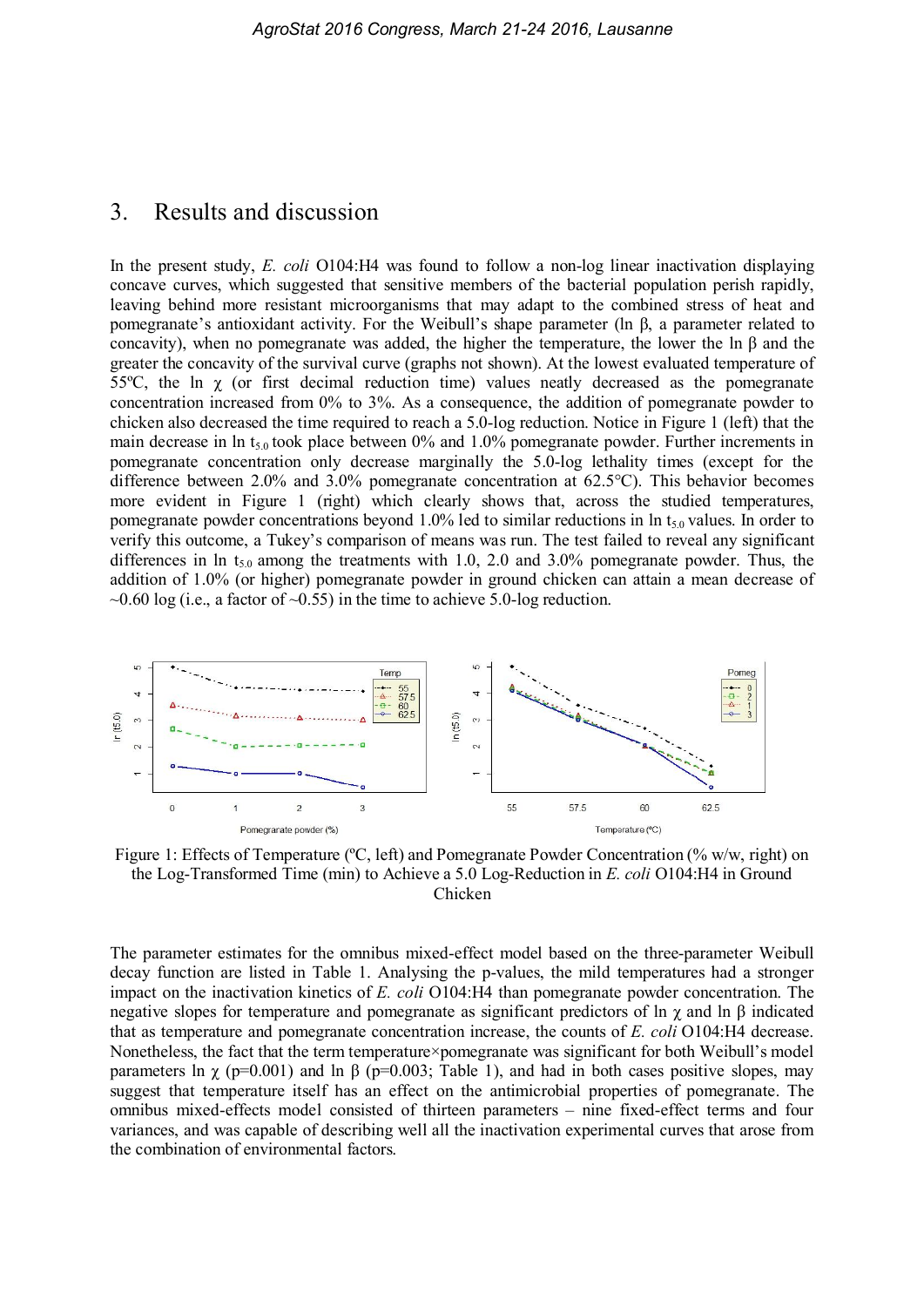#### 3. Results and discussion

In the present study, E. coli O104:H4 was found to follow a non-log linear inactivation displaying concave curves, which suggested that sensitive members of the bacterial population perish rapidly, leaving behind more resistant microorganisms that may adapt to the combined stress of heat and pomegranate's antioxidant activity. For the Weibull's shape parameter (ln β, a parameter related to concavity), when no pomegranate was added, the higher the temperature, the lower the ln  $\beta$  and the greater the concavity of the survival curve (graphs not shown). At the lowest evaluated temperature of 55°C, the ln  $\chi$  (or first decimal reduction time) values neatly decreased as the pomegranate concentration increased from 0% to 3%. As a consequence, the addition of pomegranate powder to chicken also decreased the time required to reach a 5.0-log reduction. Notice in Figure 1 (left) that the main decrease in ln  $t_{5.0}$  took place between 0% and 1.0% pomegranate powder. Further increments in pomegranate concentration only decrease marginally the 5.0-log lethality times (except for the difference between 2.0% and 3.0% pomegranate concentration at 62.5°C). This behavior becomes more evident in Figure 1 (right) which clearly shows that, across the studied temperatures, pomegranate powder concentrations beyond 1.0% led to similar reductions in  $\ln t_{5.0}$  values. In order to verify this outcome, a Tukey's comparison of means was run. The test failed to reveal any significant differences in ln  $t_{5.0}$  among the treatments with 1.0, 2.0 and 3.0% pomegranate powder. Thus, the addition of 1.0% (or higher) pomegranate powder in ground chicken can attain a mean decrease of  $\sim$ 0.60 log (i.e., a factor of  $\sim$ 0.55) in the time to achieve 5.0-log reduction.



Figure 1: Effects of Temperature (°C, left) and Pomegranate Powder Concentration (% w/w, right) on the Log-Transformed Time (min) to Achieve a 5.0 Log-Reduction in E. coli O104:H4 in Ground Chicken

The parameter estimates for the omnibus mixed-effect model based on the three-parameter Weibull decay function are listed in Table 1. Analysing the p-values, the mild temperatures had a stronger impact on the inactivation kinetics of E. coli O104:H4 than pomegranate powder concentration. The negative slopes for temperature and pomegranate as significant predictors of ln  $\gamma$  and ln  $\beta$  indicated that as temperature and pomegranate concentration increase, the counts of E. coli O104:H4 decrease. Nonetheless, the fact that the term temperature×pomegranate was significant for both Weibull's model parameters ln  $\chi$  (p=0.001) and ln β (p=0.003; Table 1), and had in both cases positive slopes, may suggest that temperature itself has an effect on the antimicrobial properties of pomegranate. The omnibus mixed-effects model consisted of thirteen parameters – nine fixed-effect terms and four variances, and was capable of describing well all the inactivation experimental curves that arose from the combination of environmental factors.